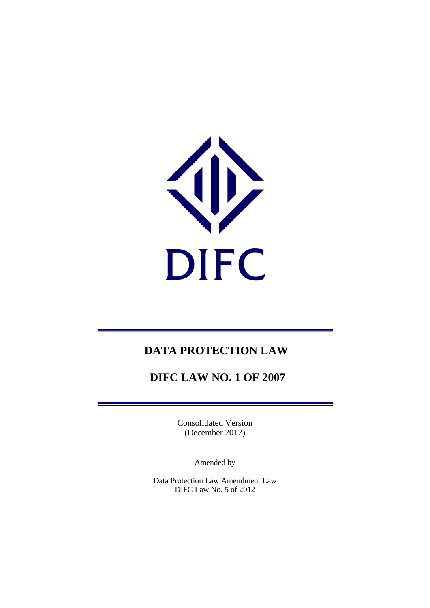

# **DATA PROTECTION LAW**

# **DIFC LAW NO. 1 OF 2007**

Consolidated Version (December 2012)

Amended by

Data Protection Law Amendment Law DIFC Law No. 5 of 2012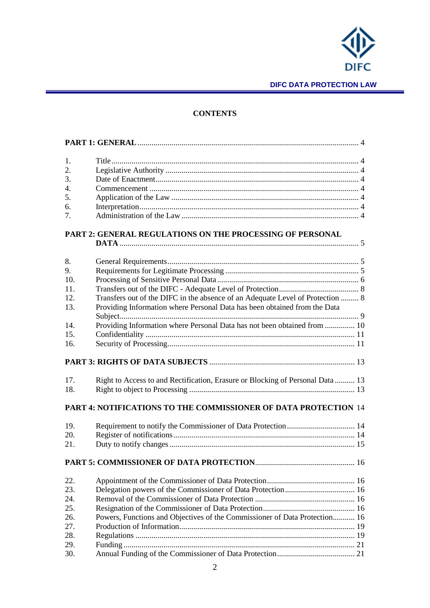

## **CONTENTS**

| 1.               |                                                                                |  |  |  |  |
|------------------|--------------------------------------------------------------------------------|--|--|--|--|
| 2.               |                                                                                |  |  |  |  |
| 3.               |                                                                                |  |  |  |  |
| $\overline{4}$ . |                                                                                |  |  |  |  |
| 5.               |                                                                                |  |  |  |  |
| 6.               |                                                                                |  |  |  |  |
| 7.               |                                                                                |  |  |  |  |
|                  |                                                                                |  |  |  |  |
|                  | PART 2: GENERAL REGULATIONS ON THE PROCESSING OF PERSONAL                      |  |  |  |  |
|                  |                                                                                |  |  |  |  |
|                  |                                                                                |  |  |  |  |
| 8.               |                                                                                |  |  |  |  |
| 9.               |                                                                                |  |  |  |  |
| 10.              |                                                                                |  |  |  |  |
| 11.              |                                                                                |  |  |  |  |
| 12.              | Transfers out of the DIFC in the absence of an Adequate Level of Protection  8 |  |  |  |  |
| 13.              | Providing Information where Personal Data has been obtained from the Data      |  |  |  |  |
|                  |                                                                                |  |  |  |  |
| 14.              | Providing Information where Personal Data has not been obtained from  10       |  |  |  |  |
| 15.              |                                                                                |  |  |  |  |
| 16.              |                                                                                |  |  |  |  |
|                  |                                                                                |  |  |  |  |
| 17.              | Right to Access to and Rectification, Erasure or Blocking of Personal Data  13 |  |  |  |  |
| 18.              |                                                                                |  |  |  |  |
|                  |                                                                                |  |  |  |  |
|                  | <b>PART 4: NOTIFICATIONS TO THE COMMISSIONER OF DATA PROTECTION 14</b>         |  |  |  |  |
| 19.              | Requirement to notify the Commissioner of Data Protection  14                  |  |  |  |  |
| 20.              |                                                                                |  |  |  |  |
| 21.              |                                                                                |  |  |  |  |
|                  |                                                                                |  |  |  |  |
| 22.              |                                                                                |  |  |  |  |
| 23.              |                                                                                |  |  |  |  |
| 24.              |                                                                                |  |  |  |  |
| 25.              |                                                                                |  |  |  |  |
| 26.              | Powers, Functions and Objectives of the Commissioner of Data Protection 16     |  |  |  |  |
| 27.              |                                                                                |  |  |  |  |
| 28.              |                                                                                |  |  |  |  |
| 29.              |                                                                                |  |  |  |  |
| 30.              |                                                                                |  |  |  |  |
|                  |                                                                                |  |  |  |  |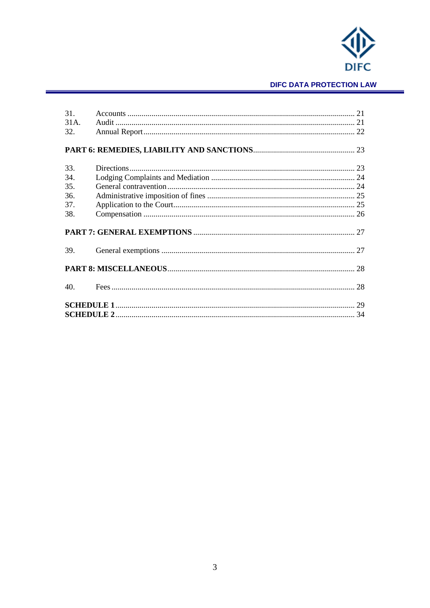

# **DIFC DATA PROTECTION LAW**

| 31.  |  |  |
|------|--|--|
| 31A. |  |  |
| 32.  |  |  |
|      |  |  |
|      |  |  |
|      |  |  |
| 33.  |  |  |
| 34.  |  |  |
| 35.  |  |  |
| 36.  |  |  |
| 37.  |  |  |
| 38.  |  |  |
|      |  |  |
|      |  |  |
|      |  |  |
| 39.  |  |  |
|      |  |  |
|      |  |  |
|      |  |  |
| 40.  |  |  |
|      |  |  |
|      |  |  |
|      |  |  |
|      |  |  |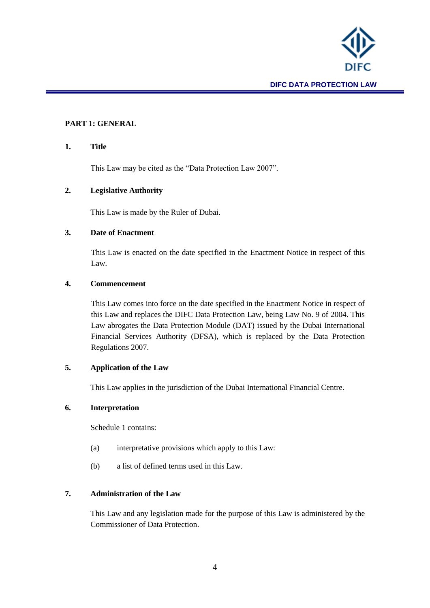

## <span id="page-3-0"></span>**PART 1: GENERAL**

#### <span id="page-3-1"></span>**1. Title**

This Law may be cited as the "Data Protection Law 2007".

#### <span id="page-3-2"></span>**2. Legislative Authority**

This Law is made by the Ruler of Dubai.

#### <span id="page-3-3"></span>**3. Date of Enactment**

This Law is enacted on the date specified in the Enactment Notice in respect of this Law.

#### <span id="page-3-4"></span>**4. Commencement**

This Law comes into force on the date specified in the Enactment Notice in respect of this Law and replaces the DIFC Data Protection Law, being Law No. 9 of 2004. This Law abrogates the Data Protection Module (DAT) issued by the Dubai International Financial Services Authority (DFSA), which is replaced by the Data Protection Regulations 2007.

# <span id="page-3-5"></span>**5. Application of the Law**

This Law applies in the jurisdiction of the Dubai International Financial Centre.

## <span id="page-3-6"></span>**6. Interpretation**

Schedule 1 contains:

- (a) interpretative provisions which apply to this Law:
- (b) a list of defined terms used in this Law.

# <span id="page-3-7"></span>**7. Administration of the Law**

This Law and any legislation made for the purpose of this Law is administered by the Commissioner of Data Protection.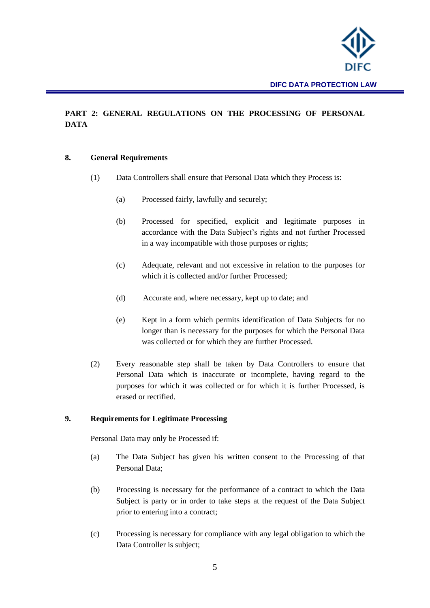

# <span id="page-4-0"></span>**PART 2: GENERAL REGULATIONS ON THE PROCESSING OF PERSONAL DATA**

#### <span id="page-4-1"></span>**8. General Requirements**

- (1) Data Controllers shall ensure that Personal Data which they Process is:
	- (a) Processed fairly, lawfully and securely;
	- (b) Processed for specified, explicit and legitimate purposes in accordance with the Data Subject's rights and not further Processed in a way incompatible with those purposes or rights;
	- (c) Adequate, relevant and not excessive in relation to the purposes for which it is collected and/or further Processed;
	- (d) Accurate and, where necessary, kept up to date; and
	- (e) Kept in a form which permits identification of Data Subjects for no longer than is necessary for the purposes for which the Personal Data was collected or for which they are further Processed.
- (2) Every reasonable step shall be taken by Data Controllers to ensure that Personal Data which is inaccurate or incomplete, having regard to the purposes for which it was collected or for which it is further Processed, is erased or rectified.

#### <span id="page-4-2"></span>**9. Requirements for Legitimate Processing**

Personal Data may only be Processed if:

- (a) The Data Subject has given his written consent to the Processing of that Personal Data;
- (b) Processing is necessary for the performance of a contract to which the Data Subject is party or in order to take steps at the request of the Data Subject prior to entering into a contract;
- (c) Processing is necessary for compliance with any legal obligation to which the Data Controller is subject;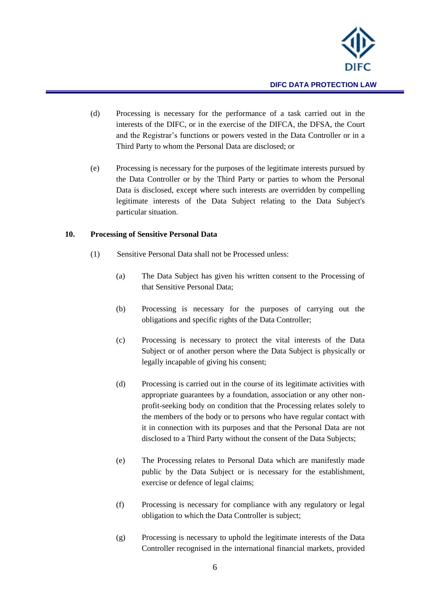

- (d) Processing is necessary for the performance of a task carried out in the interests of the DIFC, or in the exercise of the DIFCA, the DFSA, the Court and the Registrar's functions or powers vested in the Data Controller or in a Third Party to whom the Personal Data are disclosed; or
- (e) Processing is necessary for the purposes of the legitimate interests pursued by the Data Controller or by the Third Party or parties to whom the Personal Data is disclosed, except where such interests are overridden by compelling legitimate interests of the Data Subject relating to the Data Subject's particular situation.

#### <span id="page-5-0"></span>**10. Processing of Sensitive Personal Data**

- (1) Sensitive Personal Data shall not be Processed unless:
	- (a) The Data Subject has given his written consent to the Processing of that Sensitive Personal Data;
	- (b) Processing is necessary for the purposes of carrying out the obligations and specific rights of the Data Controller;
	- (c) Processing is necessary to protect the vital interests of the Data Subject or of another person where the Data Subject is physically or legally incapable of giving his consent;
	- (d) Processing is carried out in the course of its legitimate activities with appropriate guarantees by a foundation, association or any other nonprofit-seeking body on condition that the Processing relates solely to the members of the body or to persons who have regular contact with it in connection with its purposes and that the Personal Data are not disclosed to a Third Party without the consent of the Data Subjects;
	- (e) The Processing relates to Personal Data which are manifestly made public by the Data Subject or is necessary for the establishment, exercise or defence of legal claims;
	- (f) Processing is necessary for compliance with any regulatory or legal obligation to which the Data Controller is subject;
	- (g) Processing is necessary to uphold the legitimate interests of the Data Controller recognised in the international financial markets, provided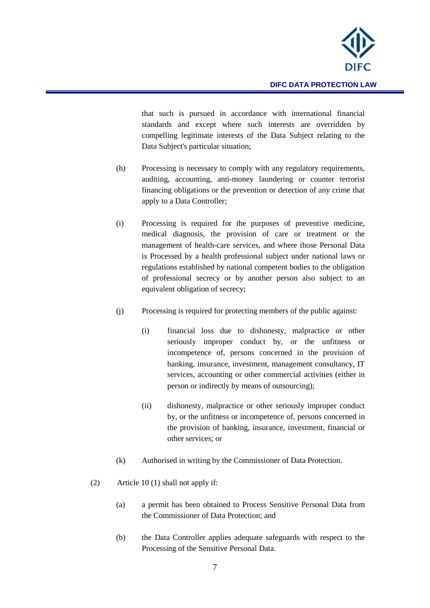

that such is pursued in accordance with international financial standards and except where such interests are overridden by compelling legitimate interests of the Data Subject relating to the Data Subject's particular situation;

- (h) Processing is necessary to comply with any regulatory requirements, auditing, accounting, anti-money laundering or counter terrorist financing obligations or the prevention or detection of any crime that apply to a Data Controller;
- (i) Processing is required for the purposes of preventive medicine, medical diagnosis, the provision of care or treatment or the management of health-care services, and where those Personal Data is Processed by a health professional subject under national laws or regulations established by national competent bodies to the obligation of professional secrecy or by another person also subject to an equivalent obligation of secrecy;
- (j) Processing is required for protecting members of the public against:
	- (i) financial loss due to dishonesty, malpractice or other seriously improper conduct by, or the unfitness or incompetence of, persons concerned in the provision of banking, insurance, investment, management consultancy, IT services, accounting or other commercial activities (either in person or indirectly by means of outsourcing);
	- (ii) dishonesty, malpractice or other seriously improper conduct by, or the unfitness or incompetence of, persons concerned in the provision of banking, insurance, investment, financial or other services; or
- (k) Authorised in writing by the Commissioner of Data Protection.
- (2) Article 10 (1) shall not apply if:
	- (a) a permit has been obtained to Process Sensitive Personal Data from the Commissioner of Data Protection; and
	- (b) the Data Controller applies adequate safeguards with respect to the Processing of the Sensitive Personal Data.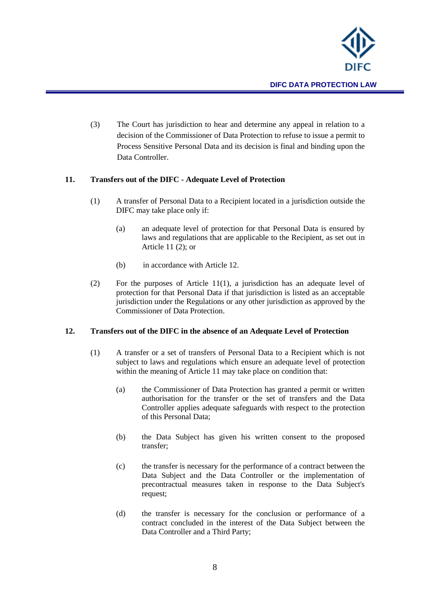

(3) The Court has jurisdiction to hear and determine any appeal in relation to a decision of the Commissioner of Data Protection to refuse to issue a permit to Process Sensitive Personal Data and its decision is final and binding upon the Data Controller.

#### <span id="page-7-0"></span>**11. Transfers out of the DIFC - Adequate Level of Protection**

- (1) A transfer of Personal Data to a Recipient located in a jurisdiction outside the DIFC may take place only if:
	- (a) an adequate level of protection for that Personal Data is ensured by laws and regulations that are applicable to the Recipient, as set out in Article 11 (2); or
	- (b) in accordance with Article 12.
- (2) For the purposes of Article 11(1), a jurisdiction has an adequate level of protection for that Personal Data if that jurisdiction is listed as an acceptable jurisdiction under the Regulations or any other jurisdiction as approved by the Commissioner of Data Protection.

#### <span id="page-7-1"></span>**12. Transfers out of the DIFC in the absence of an Adequate Level of Protection**

- (1) A transfer or a set of transfers of Personal Data to a Recipient which is not subject to laws and regulations which ensure an adequate level of protection within the meaning of Article 11 may take place on condition that:
	- (a) the Commissioner of Data Protection has granted a permit or written authorisation for the transfer or the set of transfers and the Data Controller applies adequate safeguards with respect to the protection of this Personal Data;
	- (b) the Data Subject has given his written consent to the proposed transfer;
	- (c) the transfer is necessary for the performance of a contract between the Data Subject and the Data Controller or the implementation of precontractual measures taken in response to the Data Subject's request;
	- (d) the transfer is necessary for the conclusion or performance of a contract concluded in the interest of the Data Subject between the Data Controller and a Third Party;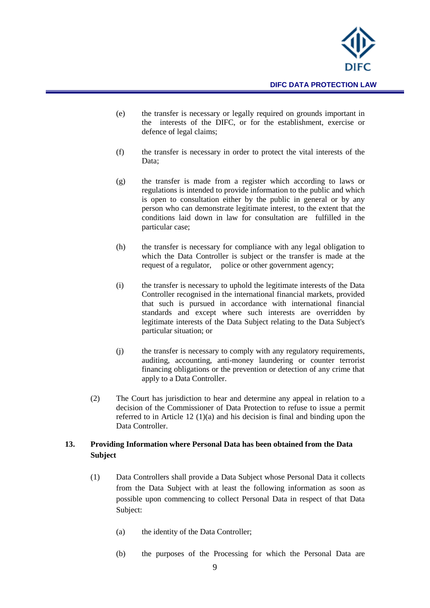

- (e) the transfer is necessary or legally required on grounds important in the interests of the DIFC, or for the establishment, exercise or defence of legal claims;
- (f) the transfer is necessary in order to protect the vital interests of the Data:
- (g) the transfer is made from a register which according to laws or regulations is intended to provide information to the public and which is open to consultation either by the public in general or by any person who can demonstrate legitimate interest, to the extent that the conditions laid down in law for consultation are fulfilled in the particular case;
- (h) the transfer is necessary for compliance with any legal obligation to which the Data Controller is subject or the transfer is made at the request of a regulator, police or other government agency;
- (i) the transfer is necessary to uphold the legitimate interests of the Data Controller recognised in the international financial markets, provided that such is pursued in accordance with international financial standards and except where such interests are overridden by legitimate interests of the Data Subject relating to the Data Subject's particular situation; or
- (j) the transfer is necessary to comply with any regulatory requirements, auditing, accounting, anti-money laundering or counter terrorist financing obligations or the prevention or detection of any crime that apply to a Data Controller.
- (2) The Court has jurisdiction to hear and determine any appeal in relation to a decision of the Commissioner of Data Protection to refuse to issue a permit referred to in Article 12 (1)(a) and his decision is final and binding upon the Data Controller.

# <span id="page-8-0"></span>**13. Providing Information where Personal Data has been obtained from the Data Subject**

- (1) Data Controllers shall provide a Data Subject whose Personal Data it collects from the Data Subject with at least the following information as soon as possible upon commencing to collect Personal Data in respect of that Data Subject:
	- (a) the identity of the Data Controller;
	- (b) the purposes of the Processing for which the Personal Data are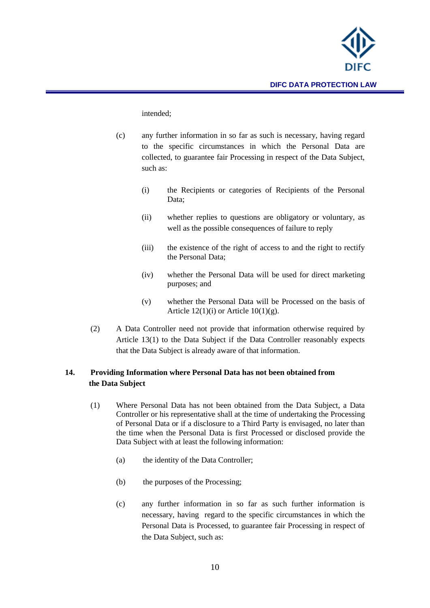

#### intended;

- (c) any further information in so far as such is necessary, having regard to the specific circumstances in which the Personal Data are collected, to guarantee fair Processing in respect of the Data Subject, such as:
	- (i) the Recipients or categories of Recipients of the Personal Data;
	- (ii) whether replies to questions are obligatory or voluntary, as well as the possible consequences of failure to reply
	- (iii) the existence of the right of access to and the right to rectify the Personal Data;
	- (iv) whether the Personal Data will be used for direct marketing purposes; and
	- (v) whether the Personal Data will be Processed on the basis of Article  $12(1)(i)$  or Article  $10(1)(g)$ .
- (2) A Data Controller need not provide that information otherwise required by Article 13(1) to the Data Subject if the Data Controller reasonably expects that the Data Subject is already aware of that information.

# <span id="page-9-0"></span>**14. Providing Information where Personal Data has not been obtained from the Data Subject**

- (1) Where Personal Data has not been obtained from the Data Subject, a Data Controller or his representative shall at the time of undertaking the Processing of Personal Data or if a disclosure to a Third Party is envisaged, no later than the time when the Personal Data is first Processed or disclosed provide the Data Subject with at least the following information:
	- (a) the identity of the Data Controller;
	- (b) the purposes of the Processing;
	- (c) any further information in so far as such further information is necessary, having regard to the specific circumstances in which the Personal Data is Processed, to guarantee fair Processing in respect of the Data Subject, such as: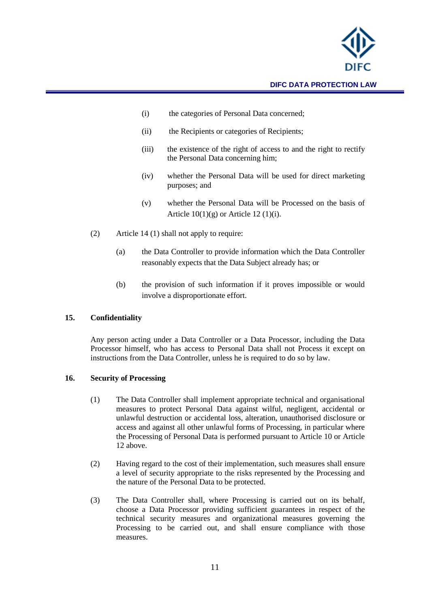

- (i) the categories of Personal Data concerned;
- (ii) the Recipients or categories of Recipients;
- (iii) the existence of the right of access to and the right to rectify the Personal Data concerning him;
- (iv) whether the Personal Data will be used for direct marketing purposes; and
- (v) whether the Personal Data will be Processed on the basis of Article  $10(1)(g)$  or Article 12 (1)(i).
- (2) Article 14 (1) shall not apply to require:
	- (a) the Data Controller to provide information which the Data Controller reasonably expects that the Data Subject already has; or
	- (b) the provision of such information if it proves impossible or would involve a disproportionate effort.

#### <span id="page-10-0"></span>**15. Confidentiality**

Any person acting under a Data Controller or a Data Processor, including the Data Processor himself, who has access to Personal Data shall not Process it except on instructions from the Data Controller, unless he is required to do so by law.

#### <span id="page-10-1"></span>**16. Security of Processing**

- (1) The Data Controller shall implement appropriate technical and organisational measures to protect Personal Data against wilful, negligent, accidental or unlawful destruction or accidental loss, alteration, unauthorised disclosure or access and against all other unlawful forms of Processing, in particular where the Processing of Personal Data is performed pursuant to Article 10 or Article 12 above.
- (2) Having regard to the cost of their implementation, such measures shall ensure a level of security appropriate to the risks represented by the Processing and the nature of the Personal Data to be protected.
- (3) The Data Controller shall, where Processing is carried out on its behalf, choose a Data Processor providing sufficient guarantees in respect of the technical security measures and organizational measures governing the Processing to be carried out, and shall ensure compliance with those measures.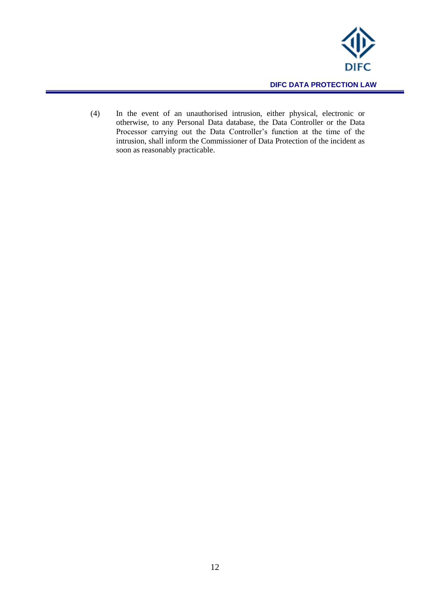

(4) In the event of an unauthorised intrusion, either physical, electronic or otherwise, to any Personal Data database, the Data Controller or the Data Processor carrying out the Data Controller's function at the time of the intrusion, shall inform the Commissioner of Data Protection of the incident as soon as reasonably practicable.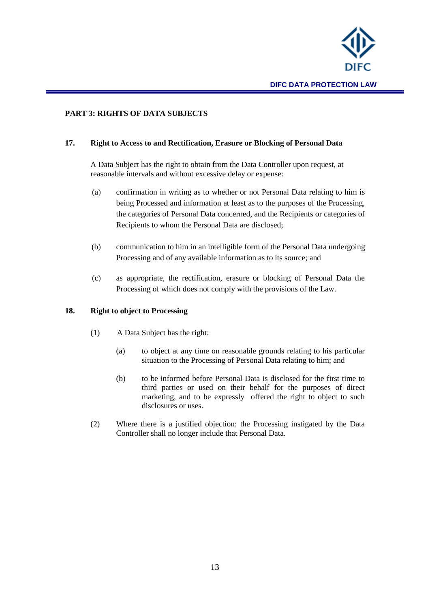

# <span id="page-12-0"></span>**PART 3: RIGHTS OF DATA SUBJECTS**

#### <span id="page-12-1"></span>**17. Right to Access to and Rectification, Erasure or Blocking of Personal Data**

A Data Subject has the right to obtain from the Data Controller upon request, at reasonable intervals and without excessive delay or expense:

- (a) confirmation in writing as to whether or not Personal Data relating to him is being Processed and information at least as to the purposes of the Processing, the categories of Personal Data concerned, and the Recipients or categories of Recipients to whom the Personal Data are disclosed;
- (b) communication to him in an intelligible form of the Personal Data undergoing Processing and of any available information as to its source; and
- (c) as appropriate, the rectification, erasure or blocking of Personal Data the Processing of which does not comply with the provisions of the Law.

#### <span id="page-12-2"></span>**18. Right to object to Processing**

- (1) A Data Subject has the right:
	- (a) to object at any time on reasonable grounds relating to his particular situation to the Processing of Personal Data relating to him; and
	- (b) to be informed before Personal Data is disclosed for the first time to third parties or used on their behalf for the purposes of direct marketing, and to be expressly offered the right to object to such disclosures or uses.
- (2) Where there is a justified objection: the Processing instigated by the Data Controller shall no longer include that Personal Data.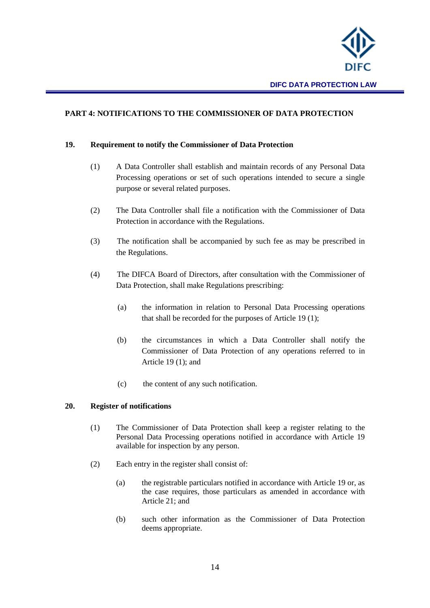

# <span id="page-13-0"></span>**PART 4: NOTIFICATIONS TO THE COMMISSIONER OF DATA PROTECTION**

#### <span id="page-13-1"></span>**19. Requirement to notify the Commissioner of Data Protection**

- (1) A Data Controller shall establish and maintain records of any Personal Data Processing operations or set of such operations intended to secure a single purpose or several related purposes.
- (2) The Data Controller shall file a notification with the Commissioner of Data Protection in accordance with the Regulations.
- (3) The notification shall be accompanied by such fee as may be prescribed in the Regulations.
- (4) The DIFCA Board of Directors, after consultation with the Commissioner of Data Protection, shall make Regulations prescribing:
	- (a) the information in relation to Personal Data Processing operations that shall be recorded for the purposes of Article 19 (1);
	- (b) the circumstances in which a Data Controller shall notify the Commissioner of Data Protection of any operations referred to in Article 19 (1); and
	- (c) the content of any such notification.

#### <span id="page-13-2"></span>**20. Register of notifications**

- (1) The Commissioner of Data Protection shall keep a register relating to the Personal Data Processing operations notified in accordance with Article 19 available for inspection by any person.
- (2) Each entry in the register shall consist of:
	- (a) the registrable particulars notified in accordance with Article 19 or, as the case requires, those particulars as amended in accordance with Article 21; and
	- (b) such other information as the Commissioner of Data Protection deems appropriate.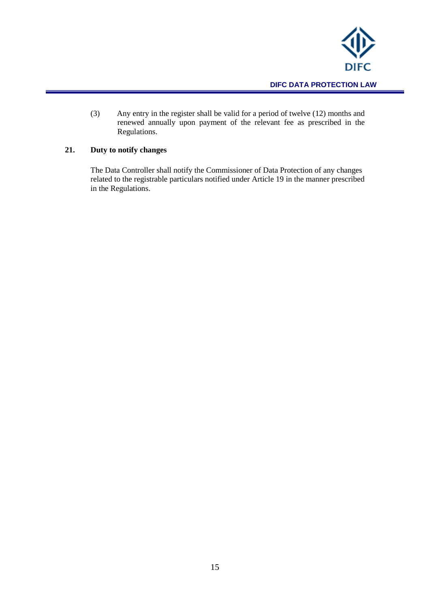

(3) Any entry in the register shall be valid for a period of twelve (12) months and renewed annually upon payment of the relevant fee as prescribed in the Regulations.

# <span id="page-14-0"></span>**21. Duty to notify changes**

The Data Controller shall notify the Commissioner of Data Protection of any changes related to the registrable particulars notified under Article 19 in the manner prescribed in the Regulations.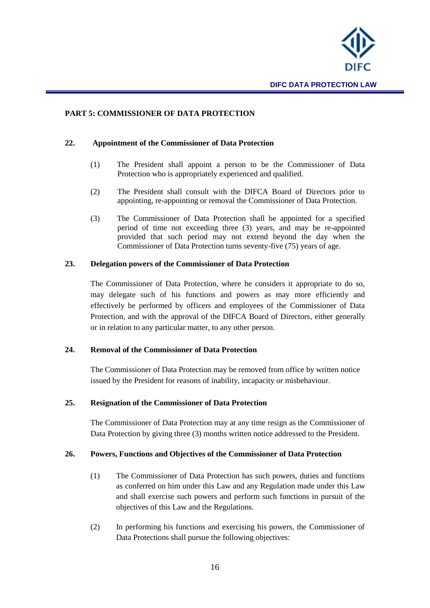

#### <span id="page-15-0"></span>**PART 5: COMMISSIONER OF DATA PROTECTION**

#### **22. Appointment of the Commissioner of Data Protection**

- <span id="page-15-1"></span>(1) The President shall appoint a person to be the Commissioner of Data Protection who is appropriately experienced and qualified.
- (2) The President shall consult with the DIFCA Board of Directors prior to appointing, re-appointing or removal the Commissioner of Data Protection.
- (3) The Commissioner of Data Protection shall be appointed for a specified period of time not exceeding three (3) years, and may be re-appointed provided that such period may not extend beyond the day when the Commissioner of Data Protection turns seventy-five (75) years of age.

#### <span id="page-15-2"></span>**23. Delegation powers of the Commissioner of Data Protection**

The Commissioner of Data Protection, where he considers it appropriate to do so, may delegate such of his functions and powers as may more efficiently and effectively be performed by officers and employees of the Commissioner of Data Protection, and with the approval of the DIFCA Board of Directors, either generally or in relation to any particular matter, to any other person.

#### <span id="page-15-3"></span>**24. Removal of the Commissioner of Data Protection**

The Commissioner of Data Protection may be removed from office by written notice issued by the President for reasons of inability, incapacity or misbehaviour.

#### <span id="page-15-4"></span>**25. Resignation of the Commissioner of Data Protection**

The Commissioner of Data Protection may at any time resign as the Commissioner of Data Protection by giving three (3) months written notice addressed to the President.

#### <span id="page-15-5"></span>**26. Powers, Functions and Objectives of the Commissioner of Data Protection**

- (1) The Commissioner of Data Protection has such powers, duties and functions as conferred on him under this Law and any Regulation made under this Law and shall exercise such powers and perform such functions in pursuit of the objectives of this Law and the Regulations.
- (2) In performing his functions and exercising his powers, the Commissioner of Data Protections shall pursue the following objectives: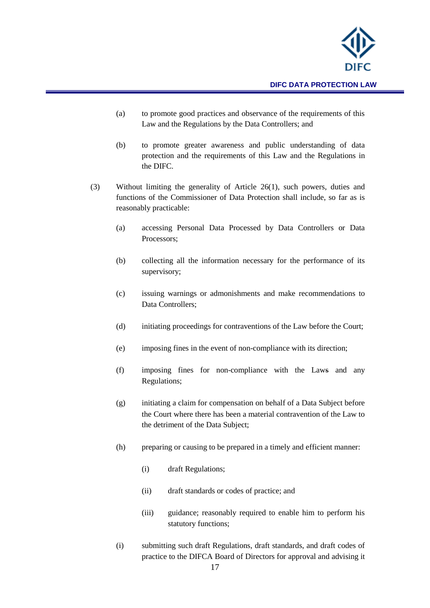

- (a) to promote good practices and observance of the requirements of this Law and the Regulations by the Data Controllers; and
- (b) to promote greater awareness and public understanding of data protection and the requirements of this Law and the Regulations in the DIFC.
- (3) Without limiting the generality of Article 26(1), such powers, duties and functions of the Commissioner of Data Protection shall include, so far as is reasonably practicable:
	- (a) accessing Personal Data Processed by Data Controllers or Data Processors;
	- (b) collecting all the information necessary for the performance of its supervisory;
	- (c) issuing warnings or admonishments and make recommendations to Data Controllers;
	- (d) initiating proceedings for contraventions of the Law before the Court;
	- (e) imposing fines in the event of non-compliance with its direction;
	- (f) imposing fines for non-compliance with the Laws and any Regulations;
	- (g) initiating a claim for compensation on behalf of a Data Subject before the Court where there has been a material contravention of the Law to the detriment of the Data Subject;
	- (h) preparing or causing to be prepared in a timely and efficient manner:
		- (i) draft Regulations;
		- (ii) draft standards or codes of practice; and
		- (iii) guidance; reasonably required to enable him to perform his statutory functions;
	- (i) submitting such draft Regulations, draft standards, and draft codes of practice to the DIFCA Board of Directors for approval and advising it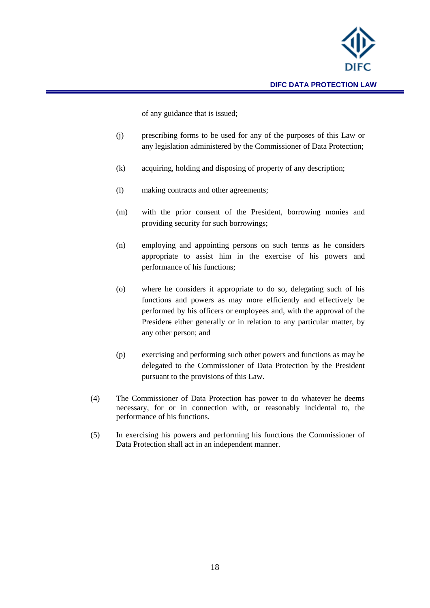

of any guidance that is issued;

- (j) prescribing forms to be used for any of the purposes of this Law or any legislation administered by the Commissioner of Data Protection;
- (k) acquiring, holding and disposing of property of any description;
- (l) making contracts and other agreements;
- (m) with the prior consent of the President, borrowing monies and providing security for such borrowings;
- (n) employing and appointing persons on such terms as he considers appropriate to assist him in the exercise of his powers and performance of his functions;
- (o) where he considers it appropriate to do so, delegating such of his functions and powers as may more efficiently and effectively be performed by his officers or employees and, with the approval of the President either generally or in relation to any particular matter, by any other person; and
- (p) exercising and performing such other powers and functions as may be delegated to the Commissioner of Data Protection by the President pursuant to the provisions of this Law.
- (4) The Commissioner of Data Protection has power to do whatever he deems necessary, for or in connection with, or reasonably incidental to, the performance of his functions.
- (5) In exercising his powers and performing his functions the Commissioner of Data Protection shall act in an independent manner.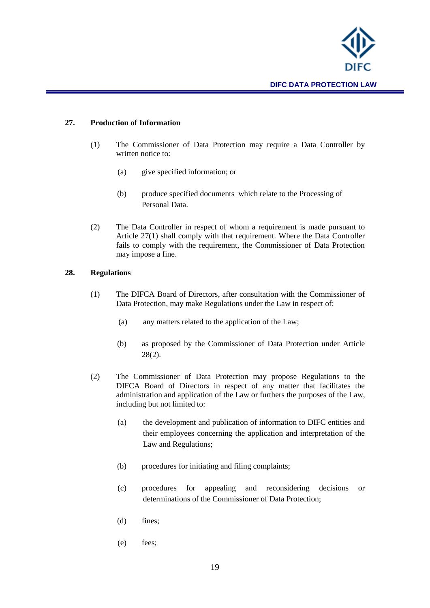

# <span id="page-18-0"></span>**27. Production of Information**

- (1) The Commissioner of Data Protection may require a Data Controller by written notice to:
	- (a) give specified information; or
	- (b) produce specified documents which relate to the Processing of Personal Data.
- (2) The Data Controller in respect of whom a requirement is made pursuant to Article 27(1) shall comply with that requirement. Where the Data Controller fails to comply with the requirement, the Commissioner of Data Protection may impose a fine.

#### <span id="page-18-1"></span>**28. Regulations**

- (1) The DIFCA Board of Directors, after consultation with the Commissioner of Data Protection, may make Regulations under the Law in respect of:
	- (a) any matters related to the application of the Law;
	- (b) as proposed by the Commissioner of Data Protection under Article  $28(2)$ .
- (2) The Commissioner of Data Protection may propose Regulations to the DIFCA Board of Directors in respect of any matter that facilitates the administration and application of the Law or furthers the purposes of the Law, including but not limited to:
	- (a) the development and publication of information to DIFC entities and their employees concerning the application and interpretation of the Law and Regulations;
	- (b) procedures for initiating and filing complaints;
	- (c) procedures for appealing and reconsidering decisions or determinations of the Commissioner of Data Protection;
	- (d) fines;
	- (e) fees;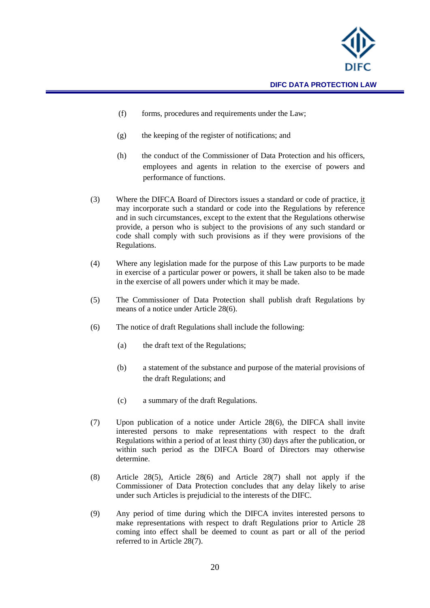

- (f) forms, procedures and requirements under the Law;
- (g) the keeping of the register of notifications; and
- (h) the conduct of the Commissioner of Data Protection and his officers, employees and agents in relation to the exercise of powers and performance of functions.
- (3) Where the DIFCA Board of Directors issues a standard or code of practice, it may incorporate such a standard or code into the Regulations by reference and in such circumstances, except to the extent that the Regulations otherwise provide, a person who is subject to the provisions of any such standard or code shall comply with such provisions as if they were provisions of the Regulations.
- (4) Where any legislation made for the purpose of this Law purports to be made in exercise of a particular power or powers, it shall be taken also to be made in the exercise of all powers under which it may be made.
- (5) The Commissioner of Data Protection shall publish draft Regulations by means of a notice under Article 28(6).
- (6) The notice of draft Regulations shall include the following:
	- (a) the draft text of the Regulations;
	- (b) a statement of the substance and purpose of the material provisions of the draft Regulations; and
	- (c) a summary of the draft Regulations.
- (7) Upon publication of a notice under Article 28(6), the DIFCA shall invite interested persons to make representations with respect to the draft Regulations within a period of at least thirty (30) days after the publication, or within such period as the DIFCA Board of Directors may otherwise determine.
- (8) Article 28(5), Article 28(6) and Article 28(7) shall not apply if the Commissioner of Data Protection concludes that any delay likely to arise under such Articles is prejudicial to the interests of the DIFC.
- (9) Any period of time during which the DIFCA invites interested persons to make representations with respect to draft Regulations prior to Article 28 coming into effect shall be deemed to count as part or all of the period referred to in Article 28(7).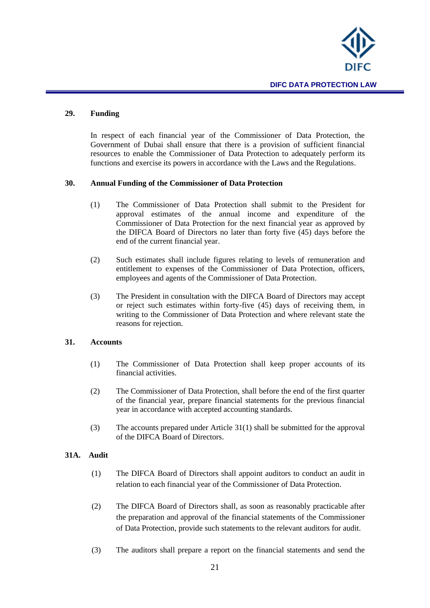

#### <span id="page-20-0"></span>**29. Funding**

In respect of each financial year of the Commissioner of Data Protection, the Government of Dubai shall ensure that there is a provision of sufficient financial resources to enable the Commissioner of Data Protection to adequately perform its functions and exercise its powers in accordance with the Laws and the Regulations.

#### <span id="page-20-1"></span>**30. Annual Funding of the Commissioner of Data Protection**

- (1) The Commissioner of Data Protection shall submit to the President for approval estimates of the annual income and expenditure of the Commissioner of Data Protection for the next financial year as approved by the DIFCA Board of Directors no later than forty five (45) days before the end of the current financial year.
- (2) Such estimates shall include figures relating to levels of remuneration and entitlement to expenses of the Commissioner of Data Protection, officers, employees and agents of the Commissioner of Data Protection.
- (3) The President in consultation with the DIFCA Board of Directors may accept or reject such estimates within forty-five (45) days of receiving them, in writing to the Commissioner of Data Protection and where relevant state the reasons for rejection.

#### <span id="page-20-2"></span>**31. Accounts**

- (1) The Commissioner of Data Protection shall keep proper accounts of its financial activities.
- (2) The Commissioner of Data Protection, shall before the end of the first quarter of the financial year, prepare financial statements for the previous financial year in accordance with accepted accounting standards.
- (3) The accounts prepared under Article 31(1) shall be submitted for the approval of the DIFCA Board of Directors.

# <span id="page-20-3"></span>**31A. Audit**

- (1) The DIFCA Board of Directors shall appoint auditors to conduct an audit in relation to each financial year of the Commissioner of Data Protection.
- (2) The DIFCA Board of Directors shall, as soon as reasonably practicable after the preparation and approval of the financial statements of the Commissioner of Data Protection, provide such statements to the relevant auditors for audit.
- (3) The auditors shall prepare a report on the financial statements and send the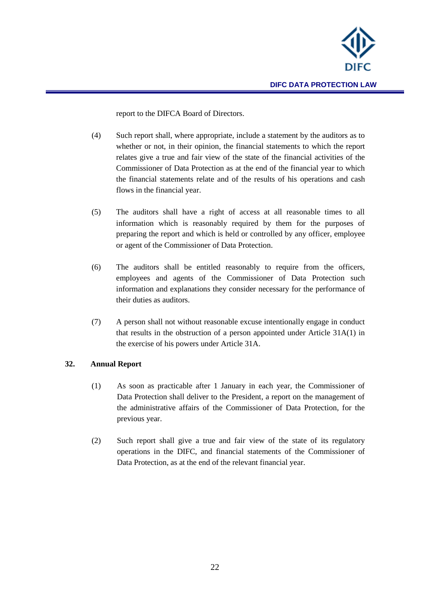

report to the DIFCA Board of Directors.

- (4) Such report shall, where appropriate, include a statement by the auditors as to whether or not, in their opinion, the financial statements to which the report relates give a true and fair view of the state of the financial activities of the Commissioner of Data Protection as at the end of the financial year to which the financial statements relate and of the results of his operations and cash flows in the financial year.
- (5) The auditors shall have a right of access at all reasonable times to all information which is reasonably required by them for the purposes of preparing the report and which is held or controlled by any officer, employee or agent of the Commissioner of Data Protection.
- (6) The auditors shall be entitled reasonably to require from the officers, employees and agents of the Commissioner of Data Protection such information and explanations they consider necessary for the performance of their duties as auditors.
- (7) A person shall not without reasonable excuse intentionally engage in conduct that results in the obstruction of a person appointed under Article 31A(1) in the exercise of his powers under Article 31A.

# <span id="page-21-0"></span>**32. Annual Report**

- (1) As soon as practicable after 1 January in each year, the Commissioner of Data Protection shall deliver to the President, a report on the management of the administrative affairs of the Commissioner of Data Protection, for the previous year.
- (2) Such report shall give a true and fair view of the state of its regulatory operations in the DIFC, and financial statements of the Commissioner of Data Protection, as at the end of the relevant financial year.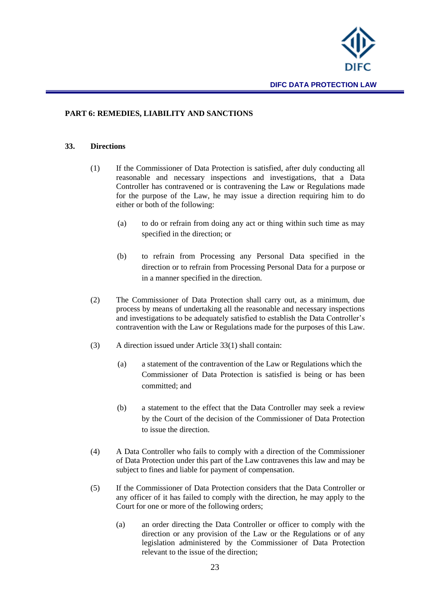

#### <span id="page-22-0"></span>**PART 6: REMEDIES, LIABILITY AND SANCTIONS**

#### <span id="page-22-1"></span>**33. Directions**

- (1) If the Commissioner of Data Protection is satisfied, after duly conducting all reasonable and necessary inspections and investigations, that a Data Controller has contravened or is contravening the Law or Regulations made for the purpose of the Law, he may issue a direction requiring him to do either or both of the following:
	- (a) to do or refrain from doing any act or thing within such time as may specified in the direction; or
	- (b) to refrain from Processing any Personal Data specified in the direction or to refrain from Processing Personal Data for a purpose or in a manner specified in the direction.
- (2) The Commissioner of Data Protection shall carry out, as a minimum, due process by means of undertaking all the reasonable and necessary inspections and investigations to be adequately satisfied to establish the Data Controller's contravention with the Law or Regulations made for the purposes of this Law.
- (3) A direction issued under Article 33(1) shall contain:
	- (a) a statement of the contravention of the Law or Regulations which the Commissioner of Data Protection is satisfied is being or has been committed; and
	- (b) a statement to the effect that the Data Controller may seek a review by the Court of the decision of the Commissioner of Data Protection to issue the direction.
- (4) A Data Controller who fails to comply with a direction of the Commissioner of Data Protection under this part of the Law contravenes this law and may be subject to fines and liable for payment of compensation.
- (5) If the Commissioner of Data Protection considers that the Data Controller or any officer of it has failed to comply with the direction, he may apply to the Court for one or more of the following orders;
	- (a) an order directing the Data Controller or officer to comply with the direction or any provision of the Law or the Regulations or of any legislation administered by the Commissioner of Data Protection relevant to the issue of the direction;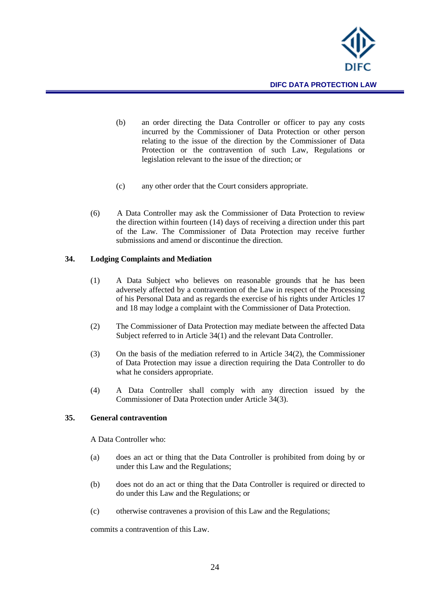

- (b) an order directing the Data Controller or officer to pay any costs incurred by the Commissioner of Data Protection or other person relating to the issue of the direction by the Commissioner of Data Protection or the contravention of such Law, Regulations or legislation relevant to the issue of the direction; or
- (c) any other order that the Court considers appropriate.
- (6) A Data Controller may ask the Commissioner of Data Protection to review the direction within fourteen (14) days of receiving a direction under this part of the Law. The Commissioner of Data Protection may receive further submissions and amend or discontinue the direction.

#### <span id="page-23-0"></span>**34. Lodging Complaints and Mediation**

- (1) A Data Subject who believes on reasonable grounds that he has been adversely affected by a contravention of the Law in respect of the Processing of his Personal Data and as regards the exercise of his rights under Articles 17 and 18 may lodge a complaint with the Commissioner of Data Protection.
- (2) The Commissioner of Data Protection may mediate between the affected Data Subject referred to in Article 34(1) and the relevant Data Controller.
- (3) On the basis of the mediation referred to in Article 34(2), the Commissioner of Data Protection may issue a direction requiring the Data Controller to do what he considers appropriate.
- (4) A Data Controller shall comply with any direction issued by the Commissioner of Data Protection under Article 34(3).

#### <span id="page-23-1"></span>**35. General contravention**

A Data Controller who:

- (a) does an act or thing that the Data Controller is prohibited from doing by or under this Law and the Regulations;
- (b) does not do an act or thing that the Data Controller is required or directed to do under this Law and the Regulations; or
- (c) otherwise contravenes a provision of this Law and the Regulations;

commits a contravention of this Law.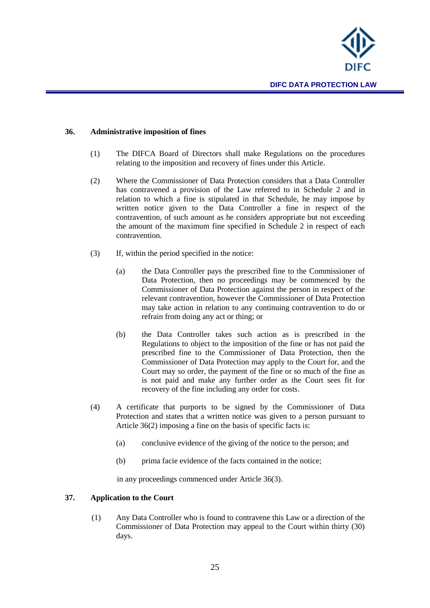

#### <span id="page-24-0"></span>**36. Administrative imposition of fines**

- (1) The DIFCA Board of Directors shall make Regulations on the procedures relating to the imposition and recovery of fines under this Article.
- (2) Where the Commissioner of Data Protection considers that a Data Controller has contravened a provision of the Law referred to in Schedule 2 and in relation to which a fine is stipulated in that Schedule, he may impose by written notice given to the Data Controller a fine in respect of the contravention, of such amount as he considers appropriate but not exceeding the amount of the maximum fine specified in Schedule 2 in respect of each contravention.
- (3) If, within the period specified in the notice:
	- (a) the Data Controller pays the prescribed fine to the Commissioner of Data Protection, then no proceedings may be commenced by the Commissioner of Data Protection against the person in respect of the relevant contravention, however the Commissioner of Data Protection may take action in relation to any continuing contravention to do or refrain from doing any act or thing; or
	- (b) the Data Controller takes such action as is prescribed in the Regulations to object to the imposition of the fine or has not paid the prescribed fine to the Commissioner of Data Protection, then the Commissioner of Data Protection may apply to the Court for, and the Court may so order, the payment of the fine or so much of the fine as is not paid and make any further order as the Court sees fit for recovery of the fine including any order for costs.
- (4) A certificate that purports to be signed by the Commissioner of Data Protection and states that a written notice was given to a person pursuant to Article 36(2) imposing a fine on the basis of specific facts is:
	- (a) conclusive evidence of the giving of the notice to the person; and
	- (b) prima facie evidence of the facts contained in the notice;

in any proceedings commenced under Article 36(3).

#### <span id="page-24-1"></span>**37. Application to the Court**

(1) Any Data Controller who is found to contravene this Law or a direction of the Commissioner of Data Protection may appeal to the Court within thirty (30) days.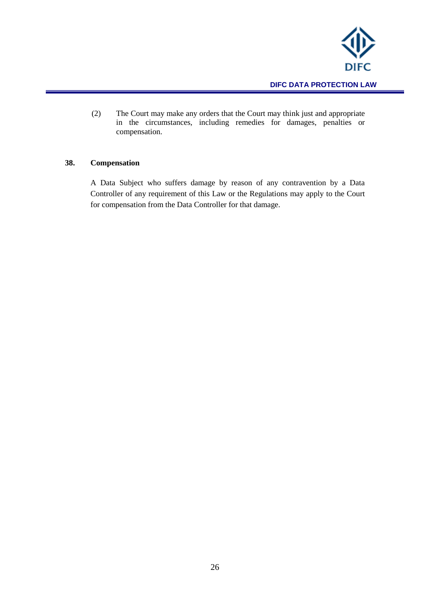

(2) The Court may make any orders that the Court may think just and appropriate in the circumstances, including remedies for damages, penalties or compensation.

## <span id="page-25-0"></span>**38. Compensation**

A Data Subject who suffers damage by reason of any contravention by a Data Controller of any requirement of this Law or the Regulations may apply to the Court for compensation from the Data Controller for that damage.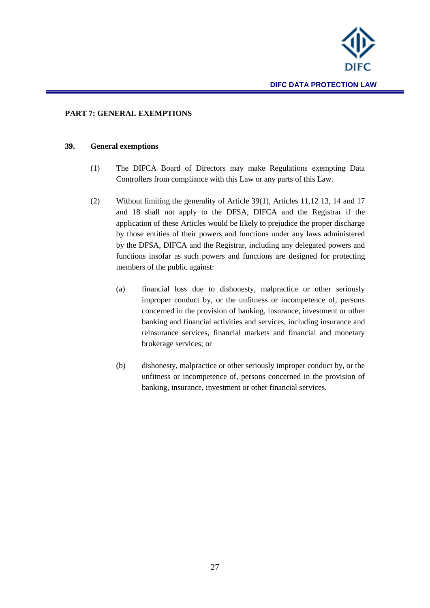

#### <span id="page-26-0"></span>**PART 7: GENERAL EXEMPTIONS**

#### <span id="page-26-1"></span>**39. General exemptions**

- (1) The DIFCA Board of Directors may make Regulations exempting Data Controllers from compliance with this Law or any parts of this Law.
- (2) Without limiting the generality of Article 39(1), Articles 11,12 13, 14 and 17 and 18 shall not apply to the DFSA, DIFCA and the Registrar if the application of these Articles would be likely to prejudice the proper discharge by those entities of their powers and functions under any laws administered by the DFSA, DIFCA and the Registrar, including any delegated powers and functions insofar as such powers and functions are designed for protecting members of the public against:
	- (a) financial loss due to dishonesty, malpractice or other seriously improper conduct by, or the unfitness or incompetence of, persons concerned in the provision of banking, insurance, investment or other banking and financial activities and services, including insurance and reinsurance services, financial markets and financial and monetary brokerage services; or
	- (b) dishonesty, malpractice or other seriously improper conduct by, or the unfitness or incompetence of, persons concerned in the provision of banking, insurance, investment or other financial services.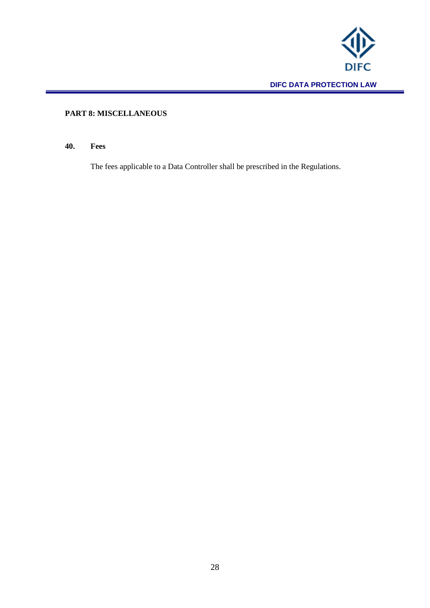

# <span id="page-27-0"></span>**PART 8: MISCELLANEOUS**

# <span id="page-27-1"></span>**40. Fees**

The fees applicable to a Data Controller shall be prescribed in the Regulations.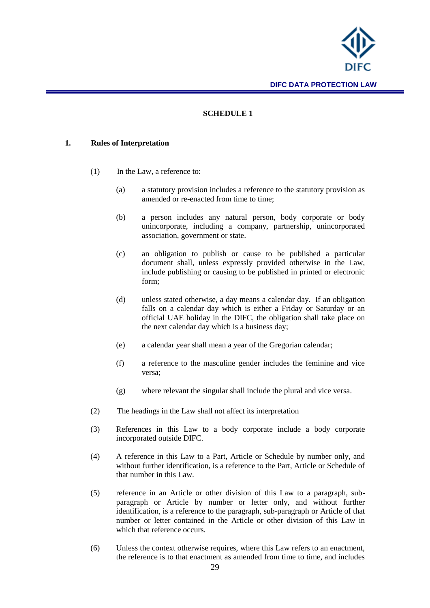

## **SCHEDULE 1**

#### <span id="page-28-0"></span>**1. Rules of Interpretation**

- (1) In the Law, a reference to:
	- (a) a statutory provision includes a reference to the statutory provision as amended or re-enacted from time to time;
	- (b) a person includes any natural person, body corporate or body unincorporate, including a company, partnership, unincorporated association, government or state.
	- (c) an obligation to publish or cause to be published a particular document shall, unless expressly provided otherwise in the Law, include publishing or causing to be published in printed or electronic form;
	- (d) unless stated otherwise, a day means a calendar day. If an obligation falls on a calendar day which is either a Friday or Saturday or an official UAE holiday in the DIFC, the obligation shall take place on the next calendar day which is a business day;
	- (e) a calendar year shall mean a year of the Gregorian calendar;
	- (f) a reference to the masculine gender includes the feminine and vice versa;
	- (g) where relevant the singular shall include the plural and vice versa.
- (2) The headings in the Law shall not affect its interpretation
- (3) References in this Law to a body corporate include a body corporate incorporated outside DIFC.
- (4) A reference in this Law to a Part, Article or Schedule by number only, and without further identification, is a reference to the Part, Article or Schedule of that number in this Law.
- (5) reference in an Article or other division of this Law to a paragraph, subparagraph or Article by number or letter only, and without further identification, is a reference to the paragraph, sub-paragraph or Article of that number or letter contained in the Article or other division of this Law in which that reference occurs.
- (6) Unless the context otherwise requires, where this Law refers to an enactment, the reference is to that enactment as amended from time to time, and includes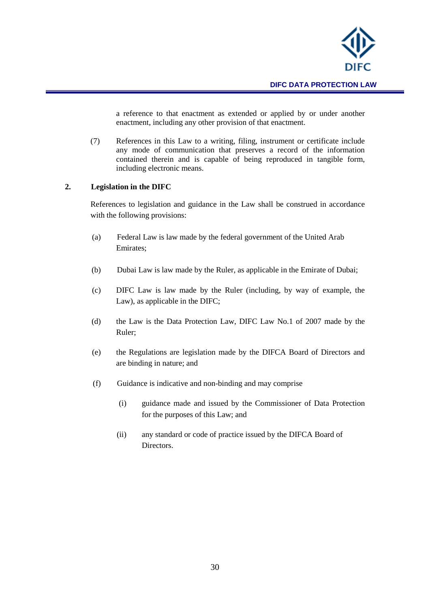

a reference to that enactment as extended or applied by or under another enactment, including any other provision of that enactment.

(7) References in this Law to a writing, filing, instrument or certificate include any mode of communication that preserves a record of the information contained therein and is capable of being reproduced in tangible form, including electronic means.

#### **2. Legislation in the DIFC**

References to legislation and guidance in the Law shall be construed in accordance with the following provisions:

- (a) Federal Law is law made by the federal government of the United Arab Emirates;
- (b) Dubai Law is law made by the Ruler, as applicable in the Emirate of Dubai;
- (c) DIFC Law is law made by the Ruler (including, by way of example, the Law), as applicable in the DIFC;
- (d) the Law is the Data Protection Law, DIFC Law No.1 of 2007 made by the Ruler;
- (e) the Regulations are legislation made by the DIFCA Board of Directors and are binding in nature; and
- (f) Guidance is indicative and non-binding and may comprise
	- (i) guidance made and issued by the Commissioner of Data Protection for the purposes of this Law; and
	- (ii) any standard or code of practice issued by the DIFCA Board of Directors.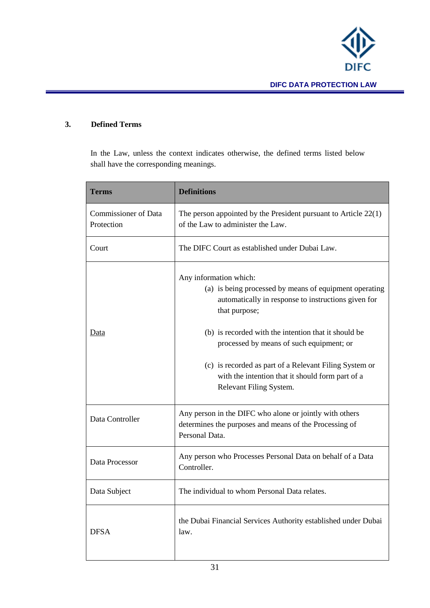

# **3. Defined Terms**

In the Law, unless the context indicates otherwise, the defined terms listed below shall have the corresponding meanings.

| <b>Terms</b>                              | <b>Definitions</b>                                                                                                                                                                                                                                                                                                                                                                                    |  |  |
|-------------------------------------------|-------------------------------------------------------------------------------------------------------------------------------------------------------------------------------------------------------------------------------------------------------------------------------------------------------------------------------------------------------------------------------------------------------|--|--|
| <b>Commissioner of Data</b><br>Protection | The person appointed by the President pursuant to Article $22(1)$<br>of the Law to administer the Law.                                                                                                                                                                                                                                                                                                |  |  |
| Court                                     | The DIFC Court as established under Dubai Law.                                                                                                                                                                                                                                                                                                                                                        |  |  |
| Data                                      | Any information which:<br>(a) is being processed by means of equipment operating<br>automatically in response to instructions given for<br>that purpose;<br>(b) is recorded with the intention that it should be<br>processed by means of such equipment; or<br>(c) is recorded as part of a Relevant Filing System or<br>with the intention that it should form part of a<br>Relevant Filing System. |  |  |
| Data Controller                           | Any person in the DIFC who alone or jointly with others<br>determines the purposes and means of the Processing of<br>Personal Data.                                                                                                                                                                                                                                                                   |  |  |
| Data Processor                            | Any person who Processes Personal Data on behalf of a Data<br>Controller.                                                                                                                                                                                                                                                                                                                             |  |  |
| Data Subject                              | The individual to whom Personal Data relates.                                                                                                                                                                                                                                                                                                                                                         |  |  |
| <b>DFSA</b>                               | the Dubai Financial Services Authority established under Dubai<br>law.                                                                                                                                                                                                                                                                                                                                |  |  |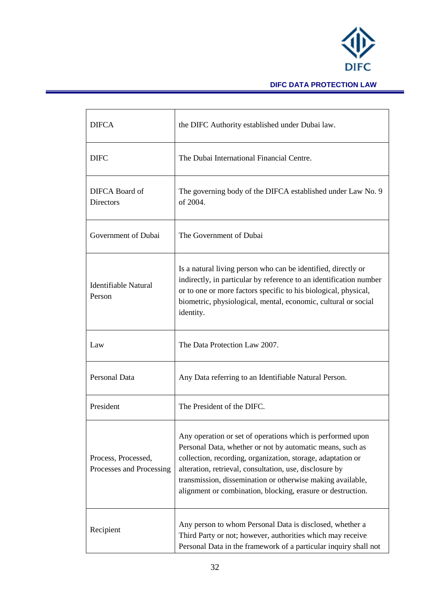

# **DIFC DATA PROTECTION LAW**

| <b>DIFCA</b>                                    | the DIFC Authority established under Dubai law.                                                                                                                                                                                                                                                                                                                                |
|-------------------------------------------------|--------------------------------------------------------------------------------------------------------------------------------------------------------------------------------------------------------------------------------------------------------------------------------------------------------------------------------------------------------------------------------|
| <b>DIFC</b>                                     | The Dubai International Financial Centre.                                                                                                                                                                                                                                                                                                                                      |
| DIFCA Board of<br><b>Directors</b>              | The governing body of the DIFCA established under Law No. 9<br>of 2004.                                                                                                                                                                                                                                                                                                        |
| Government of Dubai                             | The Government of Dubai                                                                                                                                                                                                                                                                                                                                                        |
| Identifiable Natural<br>Person                  | Is a natural living person who can be identified, directly or<br>indirectly, in particular by reference to an identification number<br>or to one or more factors specific to his biological, physical,<br>biometric, physiological, mental, economic, cultural or social<br>identity.                                                                                          |
| Law                                             | The Data Protection Law 2007.                                                                                                                                                                                                                                                                                                                                                  |
| Personal Data                                   | Any Data referring to an Identifiable Natural Person.                                                                                                                                                                                                                                                                                                                          |
| President                                       | The President of the DIFC.                                                                                                                                                                                                                                                                                                                                                     |
| Process, Processed,<br>Processes and Processing | Any operation or set of operations which is performed upon<br>Personal Data, whether or not by automatic means, such as<br>collection, recording, organization, storage, adaptation or<br>alteration, retrieval, consultation, use, disclosure by<br>transmission, dissemination or otherwise making available,<br>alignment or combination, blocking, erasure or destruction. |
| Recipient                                       | Any person to whom Personal Data is disclosed, whether a<br>Third Party or not; however, authorities which may receive<br>Personal Data in the framework of a particular inquiry shall not                                                                                                                                                                                     |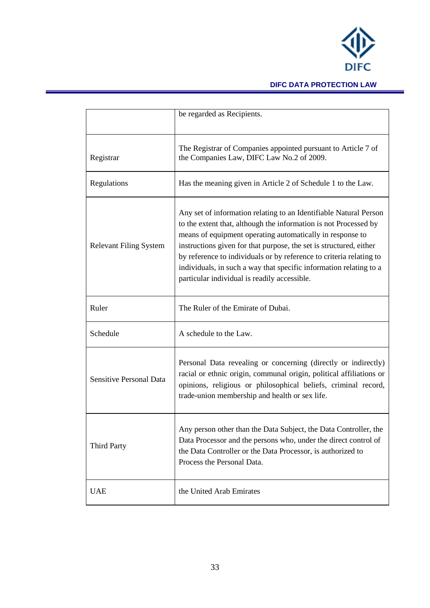

# **DIFC DATA PROTECTION LAW**

|                                | be regarded as Recipients.                                                                                                                                                                                                                                                                                                                                                                                                                                            |
|--------------------------------|-----------------------------------------------------------------------------------------------------------------------------------------------------------------------------------------------------------------------------------------------------------------------------------------------------------------------------------------------------------------------------------------------------------------------------------------------------------------------|
| Registrar                      | The Registrar of Companies appointed pursuant to Article 7 of<br>the Companies Law, DIFC Law No.2 of 2009.                                                                                                                                                                                                                                                                                                                                                            |
| Regulations                    | Has the meaning given in Article 2 of Schedule 1 to the Law.                                                                                                                                                                                                                                                                                                                                                                                                          |
| <b>Relevant Filing System</b>  | Any set of information relating to an Identifiable Natural Person<br>to the extent that, although the information is not Processed by<br>means of equipment operating automatically in response to<br>instructions given for that purpose, the set is structured, either<br>by reference to individuals or by reference to criteria relating to<br>individuals, in such a way that specific information relating to a<br>particular individual is readily accessible. |
| Ruler                          | The Ruler of the Emirate of Dubai.                                                                                                                                                                                                                                                                                                                                                                                                                                    |
| Schedule                       | A schedule to the Law.                                                                                                                                                                                                                                                                                                                                                                                                                                                |
| <b>Sensitive Personal Data</b> | Personal Data revealing or concerning (directly or indirectly)<br>racial or ethnic origin, communal origin, political affiliations or<br>opinions, religious or philosophical beliefs, criminal record,<br>trade-union membership and health or sex life.                                                                                                                                                                                                             |
| <b>Third Party</b>             | Any person other than the Data Subject, the Data Controller, the<br>Data Processor and the persons who, under the direct control of<br>the Data Controller or the Data Processor, is authorized to<br>Process the Personal Data.                                                                                                                                                                                                                                      |
| <b>UAE</b>                     | the United Arab Emirates                                                                                                                                                                                                                                                                                                                                                                                                                                              |